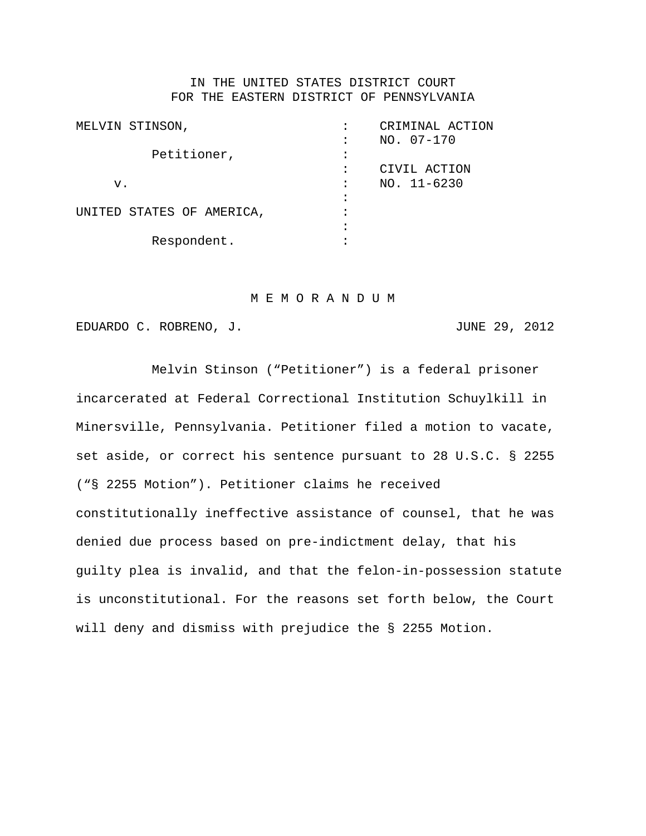## IN THE UNITED STATES DISTRICT COURT FOR THE EASTERN DISTRICT OF PENNSYLVANIA

| MELVIN STINSON,           |   | CRIMINAL ACTION |
|---------------------------|---|-----------------|
|                           |   | NO. 07-170      |
| Petitioner,               |   |                 |
|                           |   | CIVIL ACTION    |
| $\mathbf v$ .             |   | $NO. 11-6230$   |
|                           |   |                 |
| UNITED STATES OF AMERICA, | ٠ |                 |
|                           |   |                 |
| Respondent.               |   |                 |
|                           |   |                 |

#### M E M O R A N D U M

EDUARDO C. ROBRENO, J. JUNE 29, 2012

Melvin Stinson ("Petitioner") is a federal prisoner incarcerated at Federal Correctional Institution Schuylkill in Minersville, Pennsylvania. Petitioner filed a motion to vacate, set aside, or correct his sentence pursuant to 28 U.S.C. § 2255 ("§ 2255 Motion"). Petitioner claims he received constitutionally ineffective assistance of counsel, that he was denied due process based on pre-indictment delay, that his guilty plea is invalid, and that the felon-in-possession statute is unconstitutional. For the reasons set forth below, the Court will deny and dismiss with prejudice the § 2255 Motion.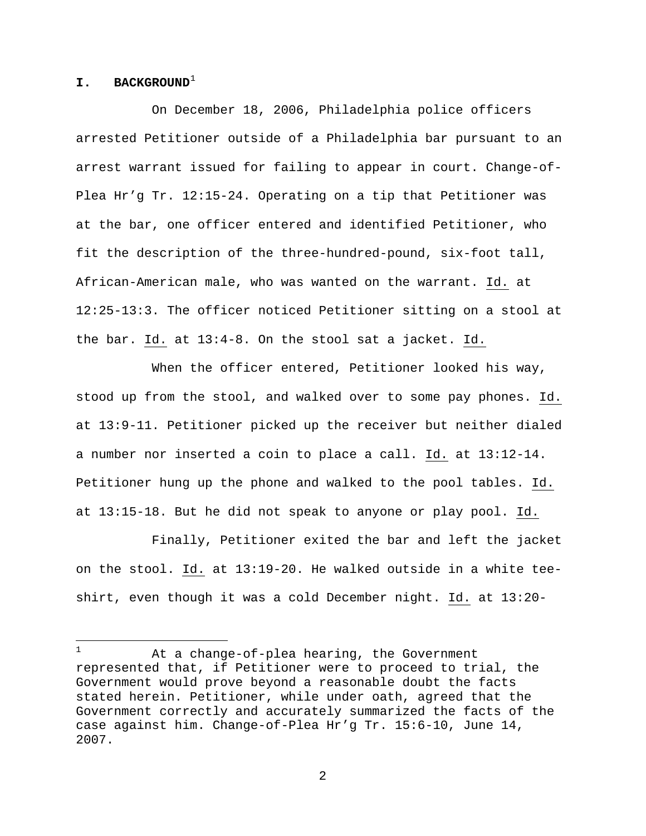### **I. BACKGROUND**<sup>[1](#page-1-0)</sup>

On December 18, 2006, Philadelphia police officers arrested Petitioner outside of a Philadelphia bar pursuant to an arrest warrant issued for failing to appear in court. Change-of-Plea Hr'g Tr. 12:15-24. Operating on a tip that Petitioner was at the bar, one officer entered and identified Petitioner, who fit the description of the three-hundred-pound, six-foot tall, African-American male, who was wanted on the warrant. Id. at 12:25-13:3. The officer noticed Petitioner sitting on a stool at the bar. Id. at 13:4-8. On the stool sat a jacket. Id.

When the officer entered, Petitioner looked his way, stood up from the stool, and walked over to some pay phones. Id. at 13:9-11. Petitioner picked up the receiver but neither dialed a number nor inserted a coin to place a call. Id. at 13:12-14. Petitioner hung up the phone and walked to the pool tables. Id. at 13:15-18. But he did not speak to anyone or play pool. Id.

Finally, Petitioner exited the bar and left the jacket on the stool. Id. at 13:19-20. He walked outside in a white teeshirt, even though it was a cold December night. Id. at 13:20-

<span id="page-1-0"></span> $\mathbf{1}$ At a change-of-plea hearing, the Government represented that, if Petitioner were to proceed to trial, the Government would prove beyond a reasonable doubt the facts stated herein. Petitioner, while under oath, agreed that the Government correctly and accurately summarized the facts of the case against him. Change-of-Plea Hr'g Tr. 15:6-10, June 14, 2007.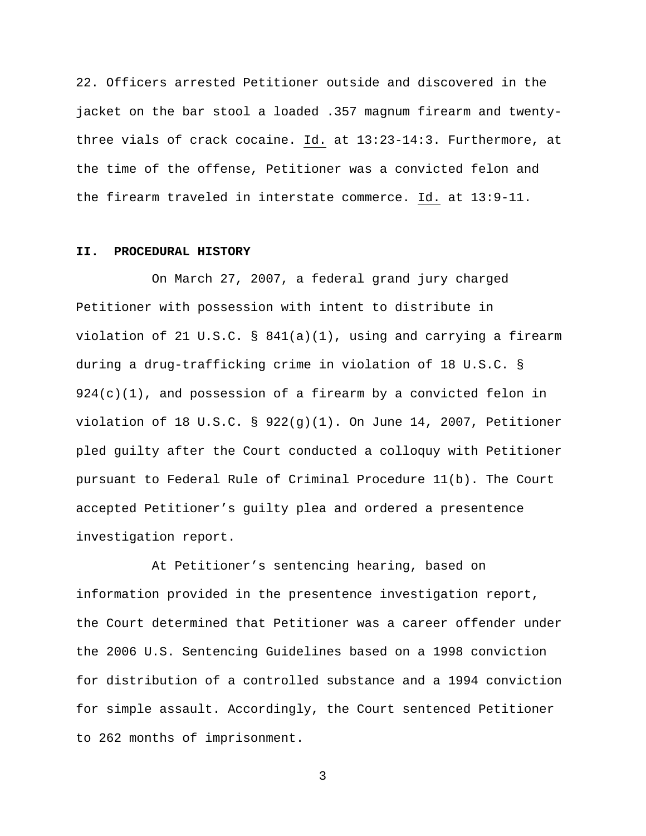22. Officers arrested Petitioner outside and discovered in the jacket on the bar stool a loaded .357 magnum firearm and twentythree vials of crack cocaine. Id. at 13:23-14:3. Furthermore, at the time of the offense, Petitioner was a convicted felon and the firearm traveled in interstate commerce. Id. at 13:9-11.

# **II. PROCEDURAL HISTORY**

On March 27, 2007, a federal grand jury charged Petitioner with possession with intent to distribute in violation of 21 U.S.C. § 841(a)(1), using and carrying a firearm during a drug-trafficking crime in violation of 18 U.S.C. §  $924(c)(1)$ , and possession of a firearm by a convicted felon in violation of 18 U.S.C. §  $922(q)(1)$ . On June 14, 2007, Petitioner pled guilty after the Court conducted a colloquy with Petitioner pursuant to Federal Rule of Criminal Procedure 11(b). The Court accepted Petitioner's guilty plea and ordered a presentence investigation report.

At Petitioner's sentencing hearing, based on information provided in the presentence investigation report, the Court determined that Petitioner was a career offender under the 2006 U.S. Sentencing Guidelines based on a 1998 conviction for distribution of a controlled substance and a 1994 conviction for simple assault. Accordingly, the Court sentenced Petitioner to 262 months of imprisonment.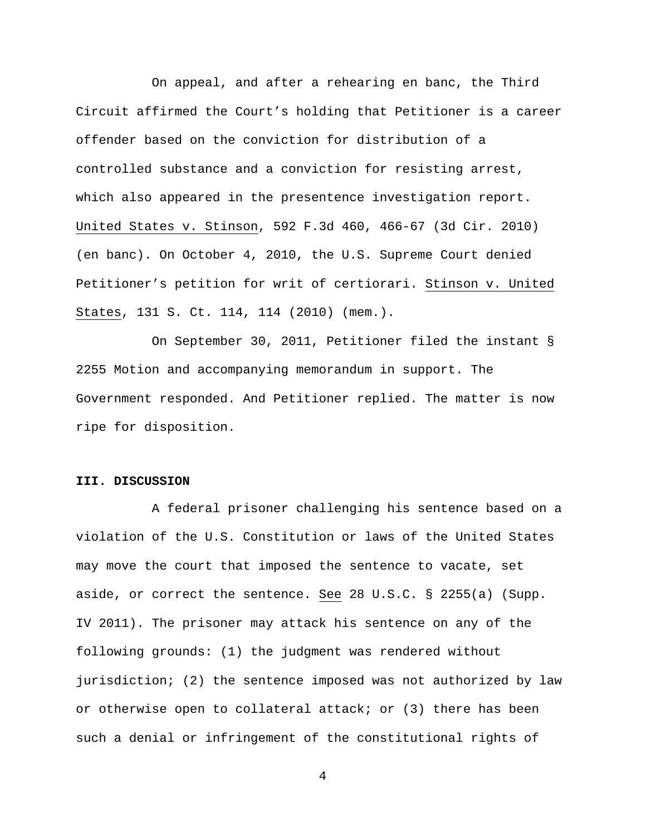On appeal, and after a rehearing en banc, the Third Circuit affirmed the Court's holding that Petitioner is a career offender based on the conviction for distribution of a controlled substance and a conviction for resisting arrest, which also appeared in the presentence investigation report. United States v. Stinson, 592 F.3d 460, 466-67 (3d Cir. 2010) (en banc). On October 4, 2010, the U.S. Supreme Court denied Petitioner's petition for writ of certiorari. Stinson v. United States, 131 S. Ct. 114, 114 (2010) (mem.).

On September 30, 2011, Petitioner filed the instant § 2255 Motion and accompanying memorandum in support. The Government responded. And Petitioner replied. The matter is now ripe for disposition.

### **III. DISCUSSION**

A federal prisoner challenging his sentence based on a violation of the U.S. Constitution or laws of the United States may move the court that imposed the sentence to vacate, set aside, or correct the sentence. See 28 U.S.C. § 2255(a) (Supp. IV 2011). The prisoner may attack his sentence on any of the following grounds: (1) the judgment was rendered without jurisdiction; (2) the sentence imposed was not authorized by law or otherwise open to collateral attack; or (3) there has been such a denial or infringement of the constitutional rights of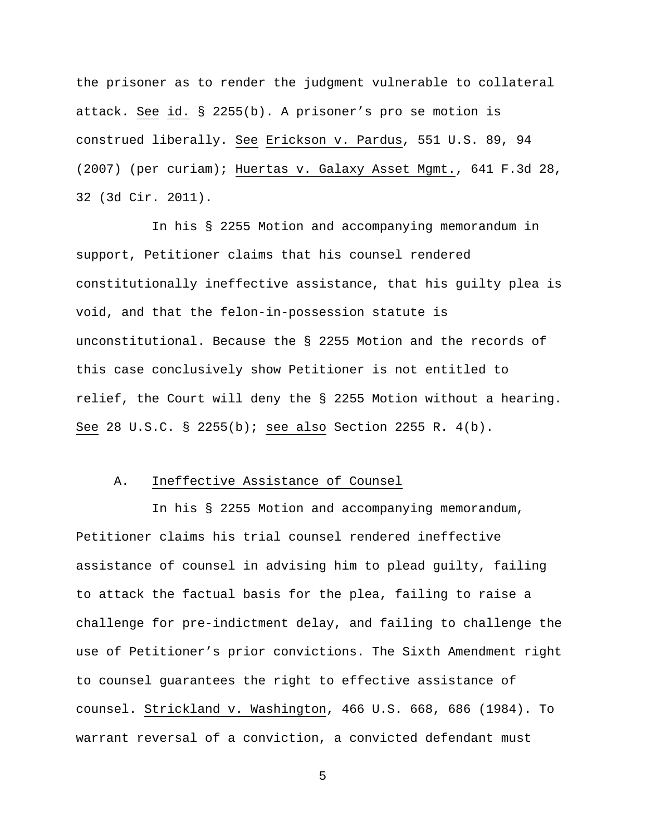the prisoner as to render the judgment vulnerable to collateral attack. See id. § 2255(b). A prisoner's pro se motion is construed liberally. See Erickson v. Pardus, 551 U.S. 89, 94 (2007) (per curiam); Huertas v. Galaxy Asset Mgmt., 641 F.3d 28, 32 (3d Cir. 2011).

In his § 2255 Motion and accompanying memorandum in support, Petitioner claims that his counsel rendered constitutionally ineffective assistance, that his guilty plea is void, and that the felon-in-possession statute is unconstitutional. Because the § 2255 Motion and the records of this case conclusively show Petitioner is not entitled to relief, the Court will deny the § 2255 Motion without a hearing. See 28 U.S.C. § 2255(b); see also Section 2255 R. 4(b).

# A. Ineffective Assistance of Counsel

In his § 2255 Motion and accompanying memorandum, Petitioner claims his trial counsel rendered ineffective assistance of counsel in advising him to plead guilty, failing to attack the factual basis for the plea, failing to raise a challenge for pre-indictment delay, and failing to challenge the use of Petitioner's prior convictions. The Sixth Amendment right to counsel guarantees the right to effective assistance of counsel. Strickland v. Washington, 466 U.S. 668, 686 (1984). To warrant reversal of a conviction, a convicted defendant must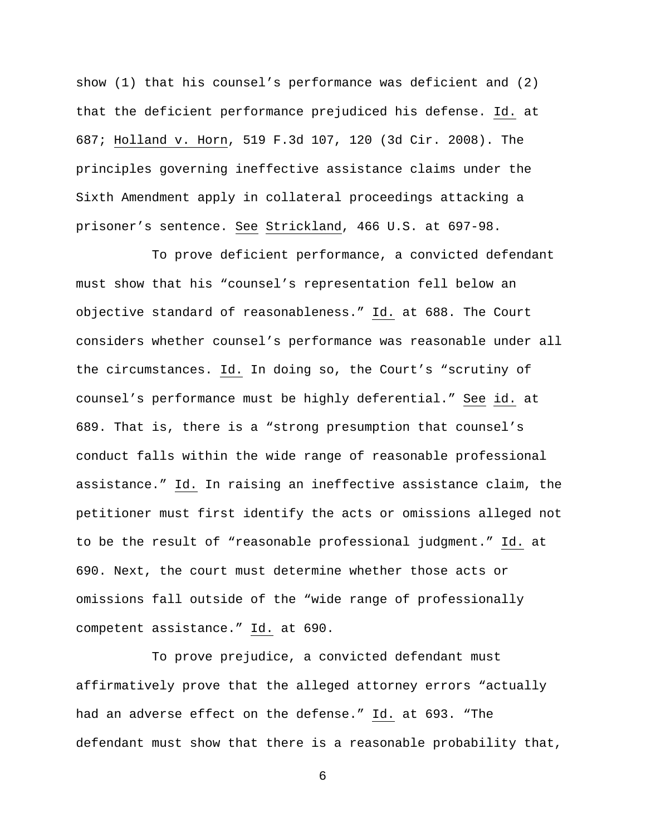show (1) that his counsel's performance was deficient and (2) that the deficient performance prejudiced his defense. Id. at 687; Holland v. Horn, 519 F.3d 107, 120 (3d Cir. 2008). The principles governing ineffective assistance claims under the Sixth Amendment apply in collateral proceedings attacking a prisoner's sentence. See Strickland, 466 U.S. at 697-98.

To prove deficient performance, a convicted defendant must show that his "counsel's representation fell below an objective standard of reasonableness." Id. at 688. The Court considers whether counsel's performance was reasonable under all the circumstances. Id. In doing so, the Court's "scrutiny of counsel's performance must be highly deferential." See id. at 689. That is, there is a "strong presumption that counsel's conduct falls within the wide range of reasonable professional assistance." Id. In raising an ineffective assistance claim, the petitioner must first identify the acts or omissions alleged not to be the result of "reasonable professional judgment." Id. at 690. Next, the court must determine whether those acts or omissions fall outside of the "wide range of professionally competent assistance." Id. at 690.

To prove prejudice, a convicted defendant must affirmatively prove that the alleged attorney errors "actually had an adverse effect on the defense." Id. at 693. "The defendant must show that there is a reasonable probability that,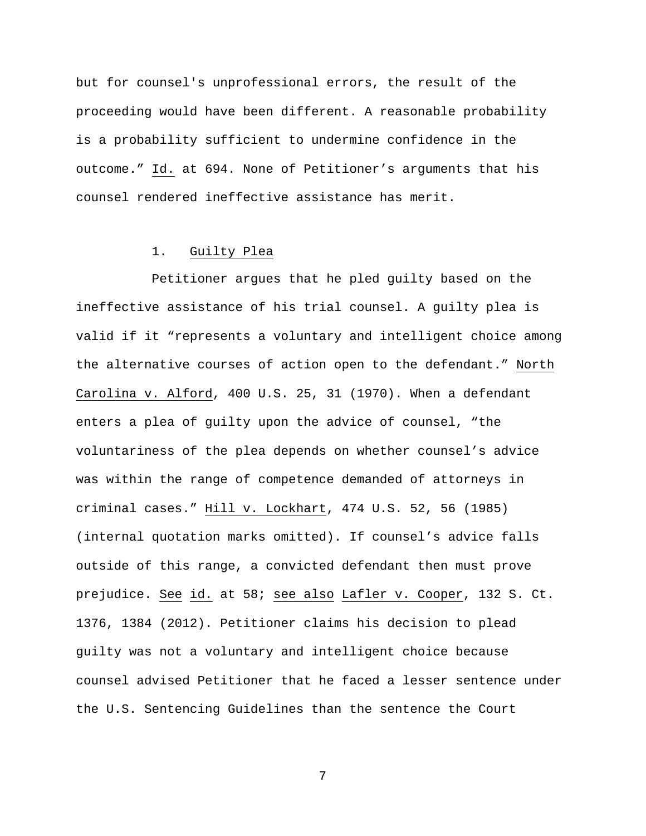but for counsel's unprofessional errors, the result of the proceeding would have been different. A reasonable probability is a probability sufficient to undermine confidence in the outcome." Id. at 694. None of Petitioner's arguments that his counsel rendered ineffective assistance has merit.

# 1. Guilty Plea

Petitioner argues that he pled guilty based on the ineffective assistance of his trial counsel. A guilty plea is valid if it "represents a voluntary and intelligent choice among the alternative courses of action open to the defendant." North Carolina v. Alford, 400 U.S. 25, 31 (1970). When a defendant enters a plea of guilty upon the advice of counsel, "the voluntariness of the plea depends on whether counsel's advice was within the range of competence demanded of attorneys in criminal cases." Hill v. Lockhart, 474 U.S. 52, 56 (1985) (internal quotation marks omitted). If counsel's advice falls outside of this range, a convicted defendant then must prove prejudice. See id. at 58; see also Lafler v. Cooper, 132 S. Ct. 1376, 1384 (2012). Petitioner claims his decision to plead guilty was not a voluntary and intelligent choice because counsel advised Petitioner that he faced a lesser sentence under the U.S. Sentencing Guidelines than the sentence the Court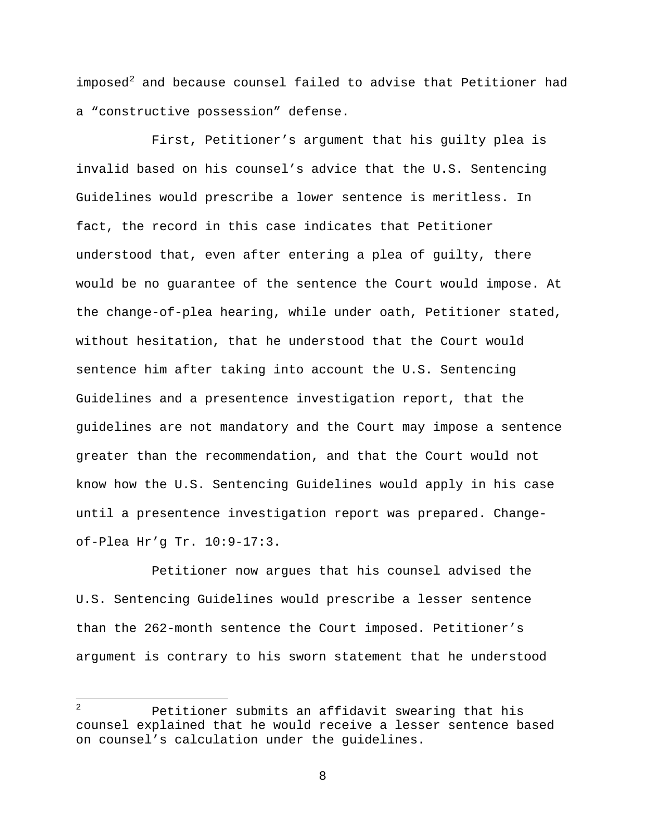imposed $^2$  $^2$  and because counsel failed to advise that Petitioner had a "constructive possession" defense.

First, Petitioner's argument that his guilty plea is invalid based on his counsel's advice that the U.S. Sentencing Guidelines would prescribe a lower sentence is meritless. In fact, the record in this case indicates that Petitioner understood that, even after entering a plea of guilty, there would be no guarantee of the sentence the Court would impose. At the change-of-plea hearing, while under oath, Petitioner stated, without hesitation, that he understood that the Court would sentence him after taking into account the U.S. Sentencing Guidelines and a presentence investigation report, that the guidelines are not mandatory and the Court may impose a sentence greater than the recommendation, and that the Court would not know how the U.S. Sentencing Guidelines would apply in his case until a presentence investigation report was prepared. Changeof-Plea Hr'g Tr. 10:9-17:3.

Petitioner now argues that his counsel advised the U.S. Sentencing Guidelines would prescribe a lesser sentence than the 262-month sentence the Court imposed. Petitioner's argument is contrary to his sworn statement that he understood

<span id="page-7-0"></span> $\overline{a}$ Petitioner submits an affidavit swearing that his counsel explained that he would receive a lesser sentence based on counsel's calculation under the guidelines.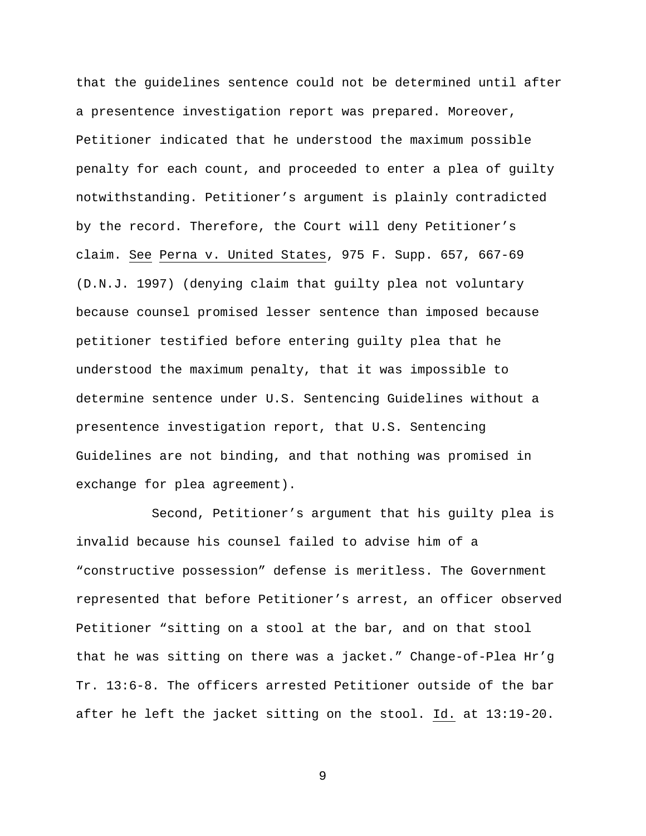that the guidelines sentence could not be determined until after a presentence investigation report was prepared. Moreover, Petitioner indicated that he understood the maximum possible penalty for each count, and proceeded to enter a plea of guilty notwithstanding. Petitioner's argument is plainly contradicted by the record. Therefore, the Court will deny Petitioner's claim. See Perna v. United States, 975 F. Supp. 657, 667-69 (D.N.J. 1997) (denying claim that guilty plea not voluntary because counsel promised lesser sentence than imposed because petitioner testified before entering guilty plea that he understood the maximum penalty, that it was impossible to determine sentence under U.S. Sentencing Guidelines without a presentence investigation report, that U.S. Sentencing Guidelines are not binding, and that nothing was promised in exchange for plea agreement).

Second, Petitioner's argument that his guilty plea is invalid because his counsel failed to advise him of a "constructive possession" defense is meritless. The Government represented that before Petitioner's arrest, an officer observed Petitioner "sitting on a stool at the bar, and on that stool that he was sitting on there was a jacket." Change-of-Plea Hr'g Tr. 13:6-8. The officers arrested Petitioner outside of the bar after he left the jacket sitting on the stool. Id. at 13:19-20.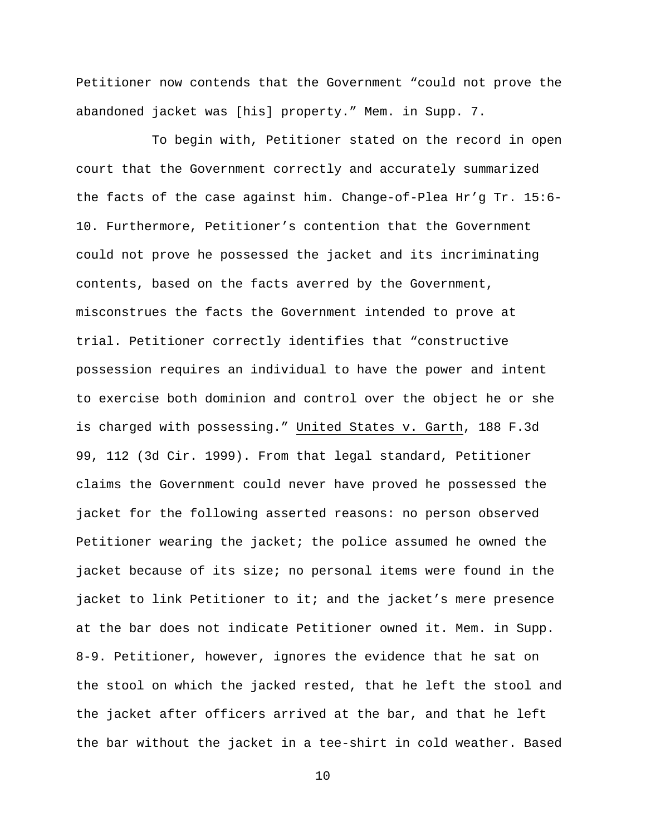Petitioner now contends that the Government "could not prove the abandoned jacket was [his] property." Mem. in Supp. 7.

To begin with, Petitioner stated on the record in open court that the Government correctly and accurately summarized the facts of the case against him. Change-of-Plea Hr'g Tr. 15:6- 10. Furthermore, Petitioner's contention that the Government could not prove he possessed the jacket and its incriminating contents, based on the facts averred by the Government, misconstrues the facts the Government intended to prove at trial. Petitioner correctly identifies that "constructive possession requires an individual to have the power and intent to exercise both dominion and control over the object he or she is charged with possessing." United States v. Garth, 188 F.3d 99, 112 (3d Cir. 1999). From that legal standard, Petitioner claims the Government could never have proved he possessed the jacket for the following asserted reasons: no person observed Petitioner wearing the jacket; the police assumed he owned the jacket because of its size; no personal items were found in the jacket to link Petitioner to it; and the jacket's mere presence at the bar does not indicate Petitioner owned it. Mem. in Supp. 8-9. Petitioner, however, ignores the evidence that he sat on the stool on which the jacked rested, that he left the stool and the jacket after officers arrived at the bar, and that he left the bar without the jacket in a tee-shirt in cold weather. Based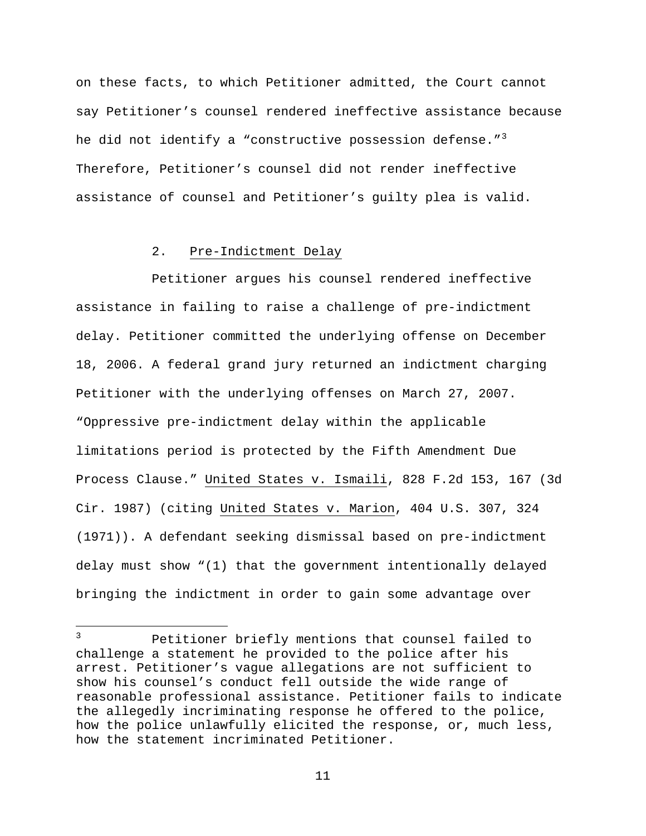on these facts, to which Petitioner admitted, the Court cannot say Petitioner's counsel rendered ineffective assistance because he did not identify a "constructive possession defense." $3$ Therefore, Petitioner's counsel did not render ineffective assistance of counsel and Petitioner's guilty plea is valid.

# 2. Pre-Indictment Delay

Petitioner argues his counsel rendered ineffective assistance in failing to raise a challenge of pre-indictment delay. Petitioner committed the underlying offense on December 18, 2006. A federal grand jury returned an indictment charging Petitioner with the underlying offenses on March 27, 2007. "Oppressive pre-indictment delay within the applicable limitations period is protected by the Fifth Amendment Due Process Clause." United States v. Ismaili, 828 F.2d 153, 167 (3d Cir. 1987) (citing United States v. Marion, 404 U.S. 307, 324 (1971)). A defendant seeking dismissal based on pre-indictment delay must show "(1) that the government intentionally delayed bringing the indictment in order to gain some advantage over

<span id="page-10-0"></span> $\overline{3}$ Petitioner briefly mentions that counsel failed to challenge a statement he provided to the police after his arrest. Petitioner's vague allegations are not sufficient to show his counsel's conduct fell outside the wide range of reasonable professional assistance. Petitioner fails to indicate the allegedly incriminating response he offered to the police, how the police unlawfully elicited the response, or, much less, how the statement incriminated Petitioner.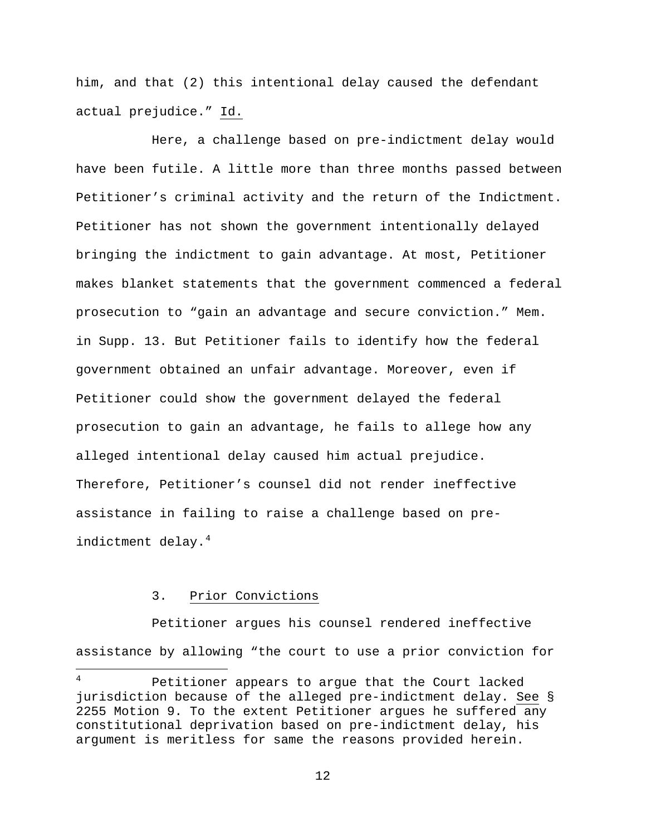him, and that (2) this intentional delay caused the defendant actual prejudice." Id.

Here, a challenge based on pre-indictment delay would have been futile. A little more than three months passed between Petitioner's criminal activity and the return of the Indictment. Petitioner has not shown the government intentionally delayed bringing the indictment to gain advantage. At most, Petitioner makes blanket statements that the government commenced a federal prosecution to "gain an advantage and secure conviction." Mem. in Supp. 13. But Petitioner fails to identify how the federal government obtained an unfair advantage. Moreover, even if Petitioner could show the government delayed the federal prosecution to gain an advantage, he fails to allege how any alleged intentional delay caused him actual prejudice. Therefore, Petitioner's counsel did not render ineffective assistance in failing to raise a challenge based on pre-indictment delay.<sup>[4](#page-11-0)</sup>

# 3. Prior Convictions

 $\overline{.}$ 

Petitioner argues his counsel rendered ineffective assistance by allowing "the court to use a prior conviction for

<span id="page-11-0"></span>Petitioner appears to argue that the Court lacked jurisdiction because of the alleged pre-indictment delay. See § 2255 Motion 9. To the extent Petitioner argues he suffered any constitutional deprivation based on pre-indictment delay, his argument is meritless for same the reasons provided herein.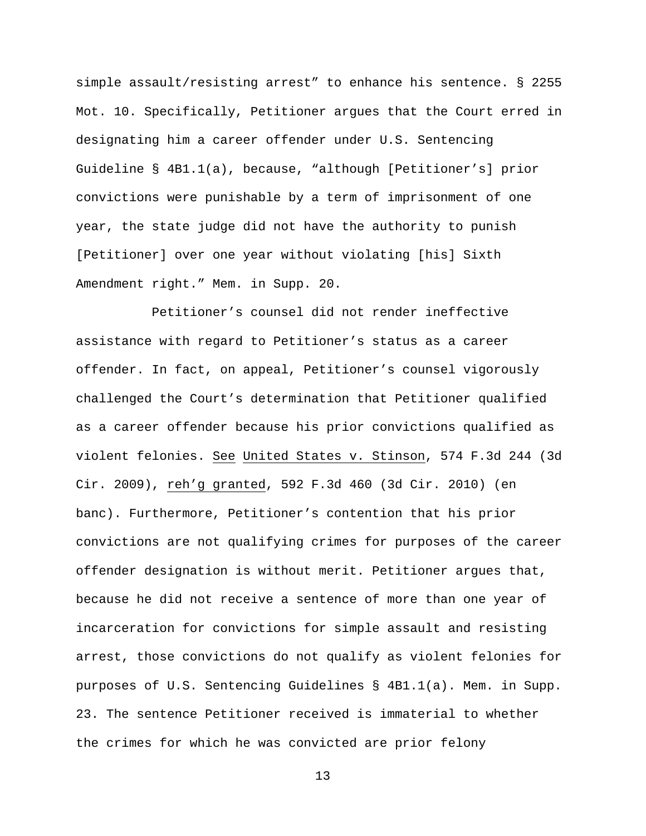simple assault/resisting arrest" to enhance his sentence. § 2255 Mot. 10. Specifically, Petitioner argues that the Court erred in designating him a career offender under U.S. Sentencing Guideline § 4B1.1(a), because, "although [Petitioner's] prior convictions were punishable by a term of imprisonment of one year, the state judge did not have the authority to punish [Petitioner] over one year without violating [his] Sixth Amendment right." Mem. in Supp. 20.

Petitioner's counsel did not render ineffective assistance with regard to Petitioner's status as a career offender. In fact, on appeal, Petitioner's counsel vigorously challenged the Court's determination that Petitioner qualified as a career offender because his prior convictions qualified as violent felonies. See United States v. Stinson, 574 F.3d 244 (3d Cir. 2009), reh'g granted, 592 F.3d 460 (3d Cir. 2010) (en banc). Furthermore, Petitioner's contention that his prior convictions are not qualifying crimes for purposes of the career offender designation is without merit. Petitioner argues that, because he did not receive a sentence of more than one year of incarceration for convictions for simple assault and resisting arrest, those convictions do not qualify as violent felonies for purposes of U.S. Sentencing Guidelines § 4B1.1(a). Mem. in Supp. 23. The sentence Petitioner received is immaterial to whether the crimes for which he was convicted are prior felony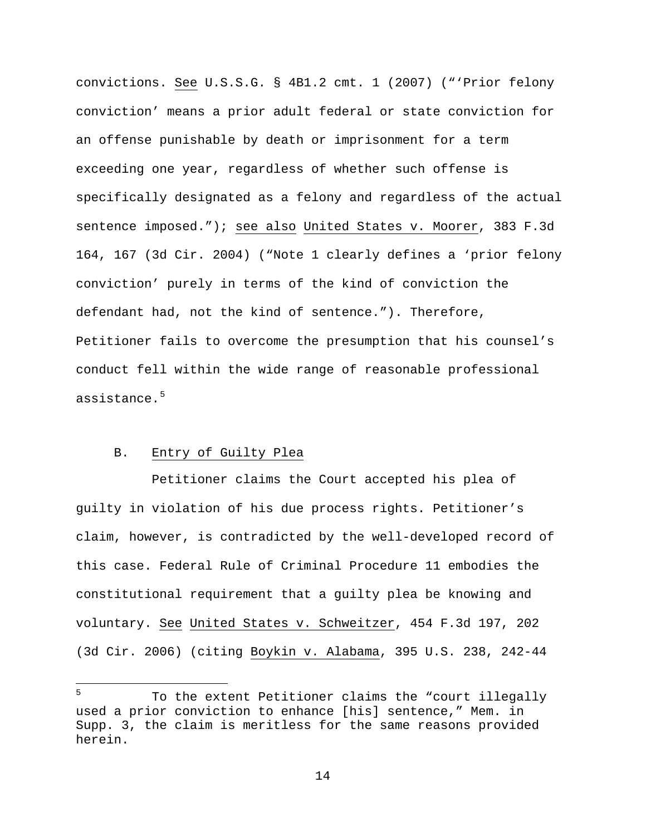convictions. See U.S.S.G. § 4B1.2 cmt. 1 (2007) ("'Prior felony conviction' means a prior adult federal or state conviction for an offense punishable by death or imprisonment for a term exceeding one year, regardless of whether such offense is specifically designated as a felony and regardless of the actual sentence imposed."); see also United States v. Moorer, 383 F.3d 164, 167 (3d Cir. 2004) ("Note 1 clearly defines a 'prior felony conviction' purely in terms of the kind of conviction the defendant had, not the kind of sentence."). Therefore, Petitioner fails to overcome the presumption that his counsel's conduct fell within the wide range of reasonable professional assistance.[5](#page-13-0)

# B. Entry of Guilty Plea

Petitioner claims the Court accepted his plea of guilty in violation of his due process rights. Petitioner's claim, however, is contradicted by the well-developed record of this case. Federal Rule of Criminal Procedure 11 embodies the constitutional requirement that a guilty plea be knowing and voluntary. See United States v. Schweitzer, 454 F.3d 197, 202 (3d Cir. 2006) (citing Boykin v. Alabama, 395 U.S. 238, 242-44

<span id="page-13-0"></span><sup>5</sup> <sup>5</sup> To the extent Petitioner claims the "court illegally used a prior conviction to enhance [his] sentence," Mem. in Supp. 3, the claim is meritless for the same reasons provided herein.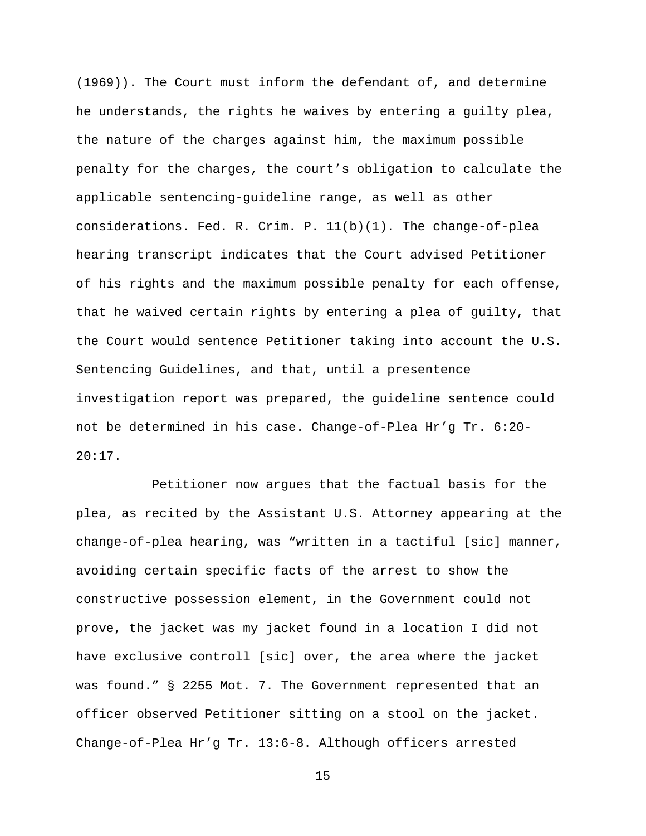(1969)). The Court must inform the defendant of, and determine he understands, the rights he waives by entering a guilty plea, the nature of the charges against him, the maximum possible penalty for the charges, the court's obligation to calculate the applicable sentencing-guideline range, as well as other considerations. Fed. R. Crim. P. 11(b)(1). The change-of-plea hearing transcript indicates that the Court advised Petitioner of his rights and the maximum possible penalty for each offense, that he waived certain rights by entering a plea of guilty, that the Court would sentence Petitioner taking into account the U.S. Sentencing Guidelines, and that, until a presentence investigation report was prepared, the guideline sentence could not be determined in his case. Change-of-Plea Hr'g Tr. 6:20- 20:17.

Petitioner now argues that the factual basis for the plea, as recited by the Assistant U.S. Attorney appearing at the change-of-plea hearing, was "written in a tactiful [sic] manner, avoiding certain specific facts of the arrest to show the constructive possession element, in the Government could not prove, the jacket was my jacket found in a location I did not have exclusive controll [sic] over, the area where the jacket was found." § 2255 Mot. 7. The Government represented that an officer observed Petitioner sitting on a stool on the jacket. Change-of-Plea Hr'g Tr. 13:6-8. Although officers arrested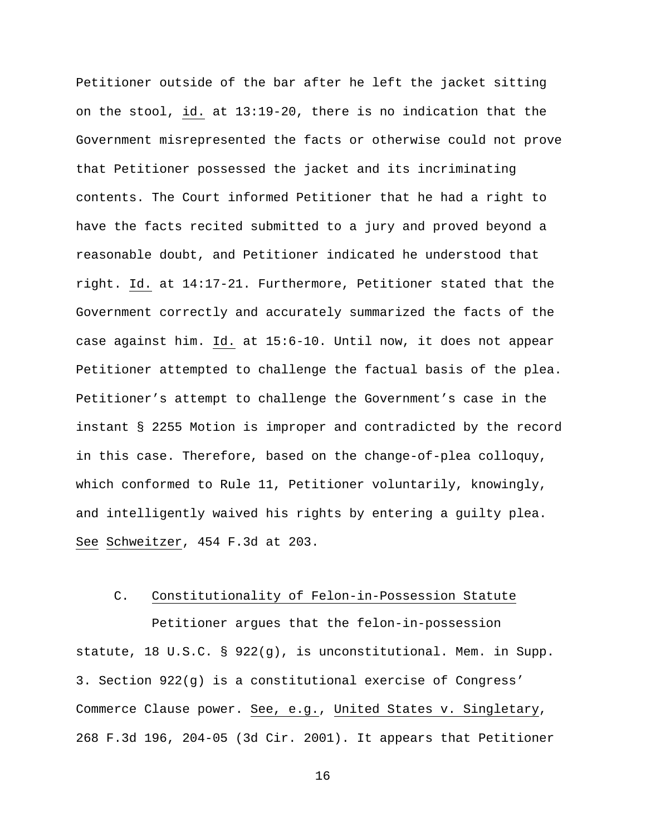Petitioner outside of the bar after he left the jacket sitting on the stool, id. at 13:19-20, there is no indication that the Government misrepresented the facts or otherwise could not prove that Petitioner possessed the jacket and its incriminating contents. The Court informed Petitioner that he had a right to have the facts recited submitted to a jury and proved beyond a reasonable doubt, and Petitioner indicated he understood that right. Id. at 14:17-21. Furthermore, Petitioner stated that the Government correctly and accurately summarized the facts of the case against him. Id. at 15:6-10. Until now, it does not appear Petitioner attempted to challenge the factual basis of the plea. Petitioner's attempt to challenge the Government's case in the instant § 2255 Motion is improper and contradicted by the record in this case. Therefore, based on the change-of-plea colloquy, which conformed to Rule 11, Petitioner voluntarily, knowingly, and intelligently waived his rights by entering a guilty plea. See Schweitzer, 454 F.3d at 203.

#### C. Constitutionality of Felon-in-Possession Statute

Petitioner argues that the felon-in-possession statute, 18 U.S.C. § 922(g), is unconstitutional. Mem. in Supp. 3. Section 922(g) is a constitutional exercise of Congress' Commerce Clause power. See, e.g., United States v. Singletary, 268 F.3d 196, 204-05 (3d Cir. 2001). It appears that Petitioner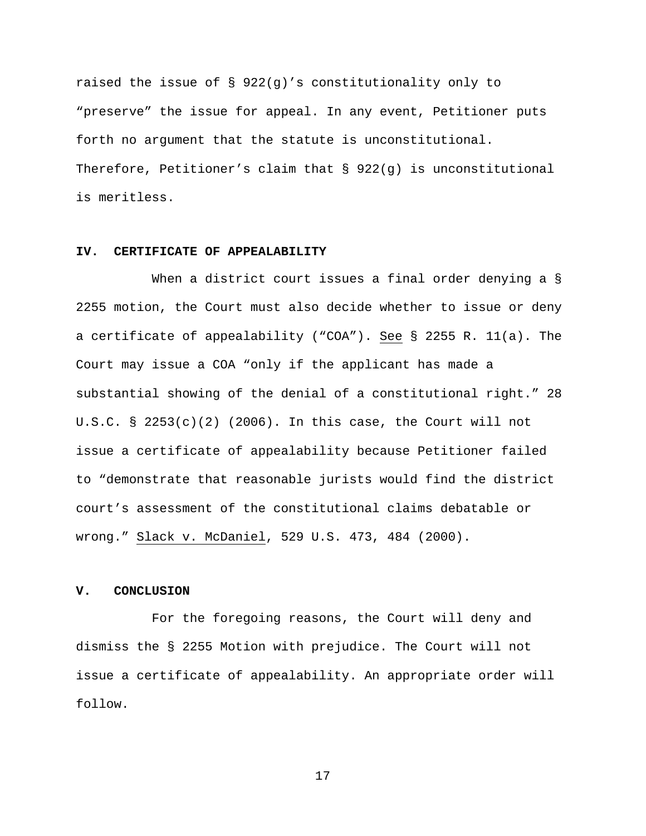raised the issue of § 922(g)'s constitutionality only to "preserve" the issue for appeal. In any event, Petitioner puts forth no argument that the statute is unconstitutional. Therefore, Petitioner's claim that  $\S$  922(q) is unconstitutional is meritless.

# **IV. CERTIFICATE OF APPEALABILITY**

When a district court issues a final order denying a § 2255 motion, the Court must also decide whether to issue or deny a certificate of appealability ("COA"). See § 2255 R. 11(a). The Court may issue a COA "only if the applicant has made a substantial showing of the denial of a constitutional right." 28 U.S.C. §  $2253(c)(2)$  (2006). In this case, the Court will not issue a certificate of appealability because Petitioner failed to "demonstrate that reasonable jurists would find the district court's assessment of the constitutional claims debatable or wrong." Slack v. McDaniel, 529 U.S. 473, 484 (2000).

## **V. CONCLUSION**

For the foregoing reasons, the Court will deny and dismiss the § 2255 Motion with prejudice. The Court will not issue a certificate of appealability. An appropriate order will follow.